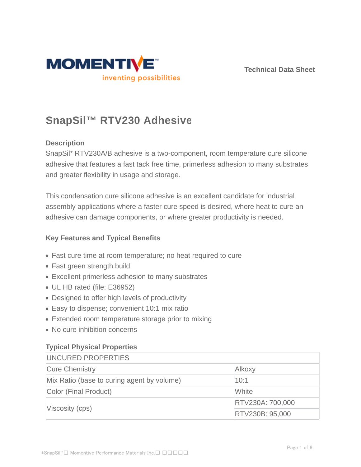



# **SnapSil™ RTV230 Adhesive**

## **Description**

SnapSil\* RTV230A/B adhesive is a two-component, room temperature cure silicone adhesive that features a fast tack free time, primerless adhesion to many substrates and greater flexibility in usage and storage.

This condensation cure silicone adhesive is an excellent candidate for industrial assembly applications where a faster cure speed is desired, where heat to cure an adhesive can damage components, or where greater productivity is needed.

#### **Key Features and Typical Benefits**

- Fast cure time at room temperature; no heat required to cure
- Fast green strength build
- Excellent primerless adhesion to many substrates
- UL HB rated (file: E36952)
- Designed to offer high levels of productivity
- Easy to dispense; convenient 10:1 mix ratio
- Extended room temperature storage prior to mixing
- No cure inhibition concerns

# **Typical Physical Properties**

| UNCURED PROPERTIES                         |                  |  |
|--------------------------------------------|------------------|--|
| <b>Cure Chemistry</b>                      | Alkoxy           |  |
| Mix Ratio (base to curing agent by volume) | 10:1             |  |
| Color (Final Product)                      | White            |  |
| Viscosity (cps)                            | RTV230A: 700,000 |  |
|                                            | RTV230B: 95,000  |  |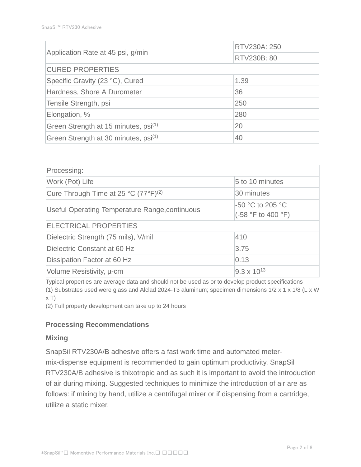|                                                  | RTV230A: 250 |  |  |  |
|--------------------------------------------------|--------------|--|--|--|
| Application Rate at 45 psi, g/min                | RTV230B: 80  |  |  |  |
| <b>CURED PROPERTIES</b>                          |              |  |  |  |
| Specific Gravity (23 °C), Cured                  | 1.39         |  |  |  |
| Hardness, Shore A Durometer                      | 36           |  |  |  |
| Tensile Strength, psi                            | 250          |  |  |  |
| Elongation, %                                    | 280          |  |  |  |
| Green Strength at 15 minutes, psi <sup>(1)</sup> | 20           |  |  |  |
| Green Strength at 30 minutes, psi <sup>(1)</sup> | 40           |  |  |  |

| Processing:                                      |                                        |  |  |  |
|--------------------------------------------------|----------------------------------------|--|--|--|
| Work (Pot) Life                                  | 5 to 10 minutes                        |  |  |  |
| Cure Through Time at 25 °C (77°F) <sup>(2)</sup> | 30 minutes                             |  |  |  |
| Useful Operating Temperature Range, continuous   | -50 °C to 205 °C<br>(-58 °F to 400 °F) |  |  |  |
| <b>ELECTRICAL PROPERTIES</b>                     |                                        |  |  |  |
| Dielectric Strength (75 mils), V/mil             | 1410                                   |  |  |  |
| Dielectric Constant at 60 Hz                     | 3.75                                   |  |  |  |
| Dissipation Factor at 60 Hz                      | 0.13                                   |  |  |  |
| Volume Resistivity, u-cm                         | $9.3 \times 10^{13}$                   |  |  |  |

Typical properties are average data and should not be used as or to develop product specifications (1) Substrates used were glass and Alclad 2024-T3 aluminum; specimen dimensions 1/2 x 1 x 1/8 (L x W  $x T$ 

(2) Full property development can take up to 24 hours

#### **Processing Recommendations**

#### **Mixing**

SnapSil RTV230A/B adhesive offers a fast work time and automated metermix-dispense equipment is recommended to gain optimum productivity. SnapSil RTV230A/B adhesive is thixotropic and as such it is important to avoid the introduction of air during mixing. Suggested techniques to minimize the introduction of air are as follows: if mixing by hand, utilize a centrifugal mixer or if dispensing from a cartridge, utilize a static mixer.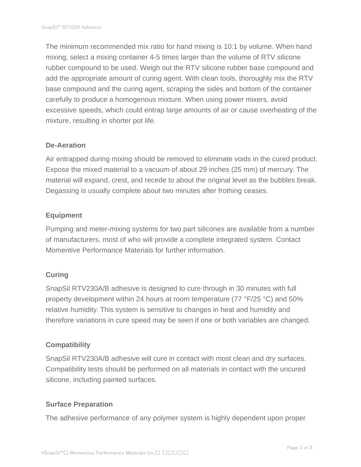The minimum recommended mix ratio for hand mixing is 10:1 by volume. When hand mixing, select a mixing container 4-5 times larger than the volume of RTV silicone rubber compound to be used. Weigh out the RTV silicone rubber base compound and add the appropriate amount of curing agent. With clean tools, thoroughly mix the RTV base compound and the curing agent, scraping the sides and bottom of the container carefully to produce a homogenous mixture. When using power mixers, avoid excessive speeds, which could entrap large amounts of air or cause overheating of the mixture, resulting in shorter pot life.

#### **De-Aeration**

Air entrapped during mixing should be removed to eliminate voids in the cured product. Expose the mixed material to a vacuum of about 29 inches (25 mm) of mercury. The material will expand, crest, and recede to about the original level as the bubbles break. Degassing is usually complete about two minutes after frothing ceases.

#### **Equipment**

Pumping and meter-mixing systems for two part silicones are available from a number of manufacturers, most of who will provide a complete integrated system. Contact Momentive Performance Materials for further information.

#### **Curing**

SnapSil RTV230A/B adhesive is designed to cure through in 30 minutes with full property development within 24 hours at room temperature (77 °F/25 °C) and 50% relative humidity. This system is sensitive to changes in heat and humidity and therefore variations in cure speed may be seen if one or both variables are changed.

#### **Compatibility**

SnapSil RTV230A/B adhesive will cure in contact with most clean and dry surfaces. Compatibility tests should be performed on all materials in contact with the uncured silicone, including painted surfaces.

#### **Surface Preparation**

The adhesive performance of any polymer system is highly dependent upon proper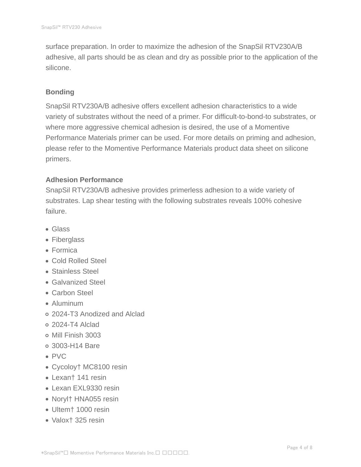surface preparation. In order to maximize the adhesion of the SnapSil RTV230A/B adhesive, all parts should be as clean and dry as possible prior to the application of the silicone.

#### **Bonding**

SnapSil RTV230A/B adhesive offers excellent adhesion characteristics to a wide variety of substrates without the need of a primer. For difficult-to-bond-to substrates, or where more aggressive chemical adhesion is desired, the use of a Momentive Performance Materials primer can be used. For more details on priming and adhesion, please refer to the Momentive Performance Materials product data sheet on silicone primers.

## **Adhesion Performance**

SnapSil RTV230A/B adhesive provides primerless adhesion to a wide variety of substrates. Lap shear testing with the following substrates reveals 100% cohesive failure.

- Glass
- Fiberglass
- Formica
- Cold Rolled Steel
- Stainless Steel
- Galvanized Steel
- Carbon Steel
- Aluminum
- 2024-T3 Anodized and Alclad
- 2024-T4 Alclad
- Mill Finish 3003
- 3003-H14 Bare
- PVC
- Cycoloy† MC8100 resin
- Lexan† 141 resin
- Lexan EXL9330 resin
- Noryl† HNA055 resin
- Ultem† 1000 resin
- Valox† 325 resin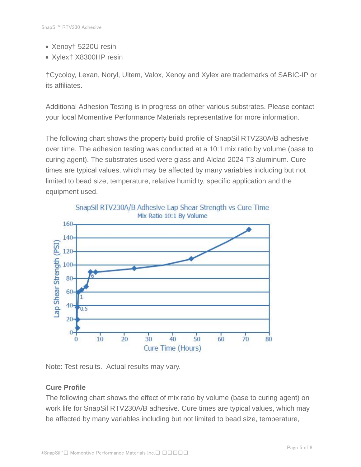- Xenoy† 5220U resin
- Xylex† X8300HP resin

†Cycoloy, Lexan, Noryl, Ultem, Valox, Xenoy and Xylex are trademarks of SABIC-IP or its affiliates.

Additional Adhesion Testing is in progress on other various substrates. Please contact your local Momentive Performance Materials representative for more information.

The following chart shows the property build profile of SnapSil RTV230A/B adhesive over time. The adhesion testing was conducted at a 10:1 mix ratio by volume (base to curing agent). The substrates used were glass and Alclad 2024-T3 aluminum. Cure times are typical values, which may be affected by many variables including but not limited to bead size, temperature, relative humidity, specific application and the equipment used.



Note: Test results. Actual results may vary.

# **Cure Profile**

The following chart shows the effect of mix ratio by volume (base to curing agent) on work life for SnapSil RTV230A/B adhesive. Cure times are typical values, which may be affected by many variables including but not limited to bead size, temperature,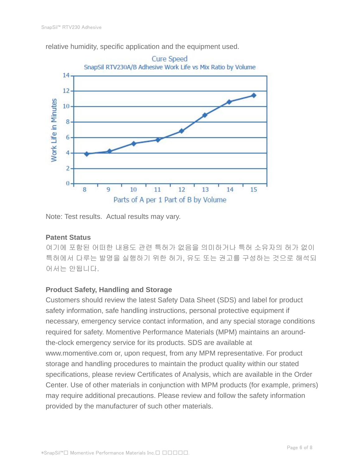



Note: Test results. Actual results may vary.

# **Patent Status**

여기에 포함된 어떠한 내용도 관련 특허가 없음을 의미하거나 특허 소유자의 허가 없이 특허에서 다루는 발명을 실행하기 위한 허가, 유도 또는 권고를 구성하는 것으로 해석되 어서는 안됩니다.

# **Product Safety, Handling and Storage**

Customers should review the latest Safety Data Sheet (SDS) and label for product safety information, safe handling instructions, personal protective equipment if necessary, emergency service contact information, and any special storage conditions required for safety. Momentive Performance Materials (MPM) maintains an aroundthe-clock emergency service for its products. SDS are available at www.momentive.com or, upon request, from any MPM representative. For product storage and handling procedures to maintain the product quality within our stated specifications, please review Certificates of Analysis, which are available in the Order Center. Use of other materials in conjunction with MPM products (for example, primers) may require additional precautions. Please review and follow the safety information provided by the manufacturer of such other materials.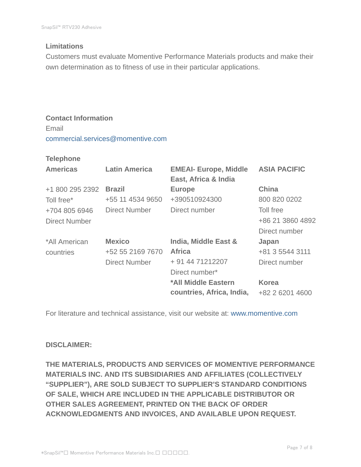#### **Limitations**

Customers must evaluate Momentive Performance Materials products and make their own determination as to fitness of use in their particular applications.

# **Contact Information** Email commercial.services@momentive.com

#### **Telephone**

| <b>Latin America</b> | <b>EMEAI- Europe, Middle</b><br>East, Africa & India | <b>ASIA PACIFIC</b> |
|----------------------|------------------------------------------------------|---------------------|
| <b>Brazil</b>        | <b>Europe</b>                                        | <b>China</b>        |
| +55 11 4534 9650     | +390510924300                                        | 800 820 0202        |
| <b>Direct Number</b> | Direct number                                        | Toll free           |
|                      |                                                      | +86 21 3860 4892    |
|                      |                                                      | Direct number       |
| <b>Mexico</b>        | India, Middle East &                                 | Japan               |
| +52 55 2169 7670     | <b>Africa</b>                                        | +81 3 5544 3111     |
| <b>Direct Number</b> | + 91 44 71212207                                     | Direct number       |
|                      | Direct number*                                       |                     |
|                      | *All Middle Eastern                                  | <b>Korea</b>        |
|                      | countries, Africa, India,                            | +82 2 6201 4600     |
|                      |                                                      |                     |

For literature and technical assistance, visit our website at: www.momentive.com

#### **DISCLAIMER:**

**THE MATERIALS, PRODUCTS AND SERVICES OF MOMENTIVE PERFORMANCE MATERIALS INC. AND ITS SUBSIDIARIES AND AFFILIATES (COLLECTIVELY "SUPPLIER"), ARE SOLD SUBJECT TO SUPPLIER'S STANDARD CONDITIONS OF SALE, WHICH ARE INCLUDED IN THE APPLICABLE DISTRIBUTOR OR OTHER SALES AGREEMENT, PRINTED ON THE BACK OF ORDER ACKNOWLEDGMENTS AND INVOICES, AND AVAILABLE UPON REQUEST.**